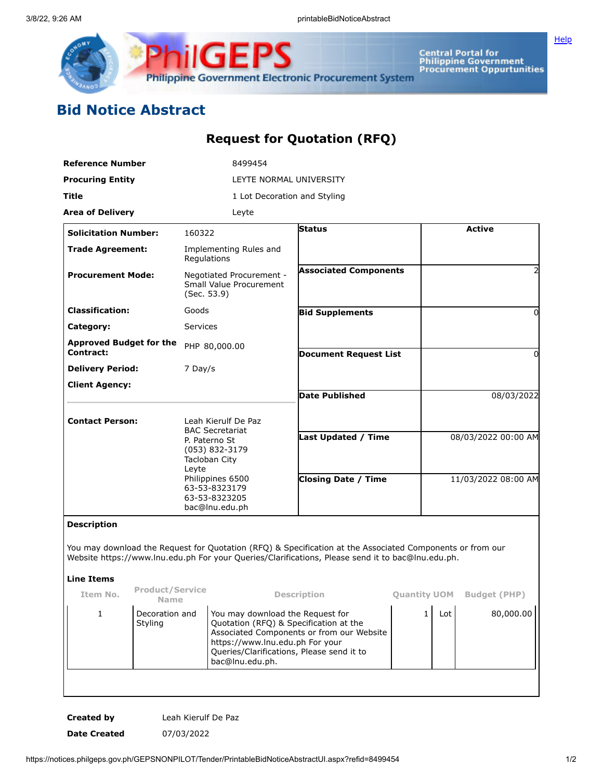

**Central Portal for<br>Philippine Government<br>Procurement Oppurtunities** 

**[Help](javascript:void(window.open()** 

## **Bid Notice Abstract**

## **Request for Quotation (RFQ)**

| <b>Reference Number</b>                            |                                       |                                                                                                                                                                                    | 8499454                                                                                                                                                    |                                                                                                                                                                                                                |                     |                     |                     |
|----------------------------------------------------|---------------------------------------|------------------------------------------------------------------------------------------------------------------------------------------------------------------------------------|------------------------------------------------------------------------------------------------------------------------------------------------------------|----------------------------------------------------------------------------------------------------------------------------------------------------------------------------------------------------------------|---------------------|---------------------|---------------------|
| <b>Procuring Entity</b>                            |                                       | LEYTE NORMAL UNIVERSITY                                                                                                                                                            |                                                                                                                                                            |                                                                                                                                                                                                                |                     |                     |                     |
| Title                                              |                                       |                                                                                                                                                                                    | 1 Lot Decoration and Styling                                                                                                                               |                                                                                                                                                                                                                |                     |                     |                     |
| <b>Area of Delivery</b>                            |                                       |                                                                                                                                                                                    | Leyte                                                                                                                                                      |                                                                                                                                                                                                                |                     |                     |                     |
| <b>Solicitation Number:</b>                        |                                       | 160322                                                                                                                                                                             |                                                                                                                                                            | <b>Status</b>                                                                                                                                                                                                  |                     |                     | <b>Active</b>       |
| <b>Trade Agreement:</b>                            |                                       | Regulations                                                                                                                                                                        | Implementing Rules and                                                                                                                                     |                                                                                                                                                                                                                |                     |                     |                     |
| <b>Procurement Mode:</b>                           |                                       | Negotiated Procurement -<br>Small Value Procurement<br>(Sec. 53.9)                                                                                                                 |                                                                                                                                                            | <b>Associated Components</b>                                                                                                                                                                                   |                     |                     | $\overline{2}$      |
| <b>Classification:</b>                             |                                       | Goods                                                                                                                                                                              |                                                                                                                                                            | <b>Bid Supplements</b>                                                                                                                                                                                         |                     |                     | 0                   |
| Category:                                          |                                       | Services                                                                                                                                                                           |                                                                                                                                                            |                                                                                                                                                                                                                |                     |                     |                     |
| <b>Approved Budget for the</b><br><b>Contract:</b> |                                       |                                                                                                                                                                                    | PHP 80,000.00                                                                                                                                              | <b>Document Request List</b>                                                                                                                                                                                   |                     | $\Omega$            |                     |
| <b>Delivery Period:</b>                            |                                       | 7 Day/s                                                                                                                                                                            |                                                                                                                                                            |                                                                                                                                                                                                                |                     |                     |                     |
| <b>Client Agency:</b>                              |                                       |                                                                                                                                                                                    |                                                                                                                                                            | <b>Date Published</b>                                                                                                                                                                                          |                     |                     | 08/03/2022          |
| <b>Contact Person:</b>                             |                                       | Leah Kierulf De Paz<br><b>BAC Secretariat</b><br>P. Paterno St<br>(053) 832-3179<br>Tacloban City<br>Leyte<br>Philippines 6500<br>63-53-8323179<br>63-53-8323205<br>bac@lnu.edu.ph |                                                                                                                                                            |                                                                                                                                                                                                                |                     |                     |                     |
|                                                    |                                       |                                                                                                                                                                                    |                                                                                                                                                            | Last Updated / Time                                                                                                                                                                                            |                     |                     | 08/03/2022 00:00 AM |
|                                                    |                                       |                                                                                                                                                                                    |                                                                                                                                                            | <b>Closing Date / Time</b>                                                                                                                                                                                     |                     | 11/03/2022 08:00 AM |                     |
| <b>Description</b>                                 |                                       |                                                                                                                                                                                    |                                                                                                                                                            |                                                                                                                                                                                                                |                     |                     |                     |
|                                                    |                                       |                                                                                                                                                                                    |                                                                                                                                                            | You may download the Request for Quotation (RFQ) & Specification at the Associated Components or from our<br>Website https://www.lnu.edu.ph For your Queries/Clarifications, Please send it to bac@lnu.edu.ph. |                     |                     |                     |
| <b>Line Items</b>                                  |                                       |                                                                                                                                                                                    |                                                                                                                                                            |                                                                                                                                                                                                                |                     |                     |                     |
| Item No.                                           | <b>Product/Service</b><br><b>Name</b> |                                                                                                                                                                                    |                                                                                                                                                            | <b>Description</b>                                                                                                                                                                                             | <b>Quantity UOM</b> |                     | <b>Budget (PHP)</b> |
| 1                                                  | Decoration and<br>Styling             |                                                                                                                                                                                    | You may download the Request for<br>Quotation (RFQ) & Specification at the<br>https://www.lnu.edu.ph For your<br>Queries/Clarifications, Please send it to | Associated Components or from our Website                                                                                                                                                                      | $\mathbf{1}$        | Lot                 | 80,000.00           |

**Created by** Leah Kierulf De Paz **Date Created** 07/03/2022